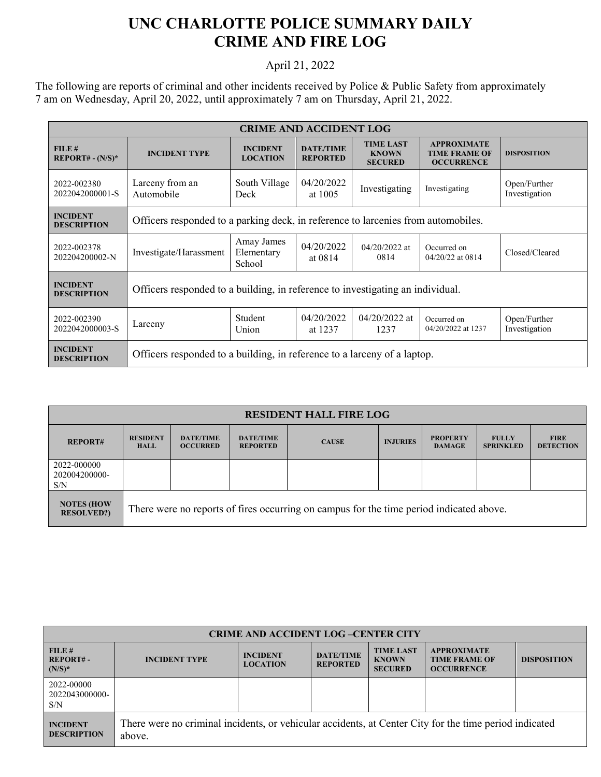## **UNC CHARLOTTE POLICE SUMMARY DAILY CRIME AND FIRE LOG**

## April 21, 2022

The following are reports of criminal and other incidents received by Police & Public Safety from approximately 7 am on Wednesday, April 20, 2022, until approximately 7 am on Thursday, April 21, 2022.

| <b>CRIME AND ACCIDENT LOG</b>         |                                                                                   |                                    |                                     |                                                    |                                                                 |                               |  |
|---------------------------------------|-----------------------------------------------------------------------------------|------------------------------------|-------------------------------------|----------------------------------------------------|-----------------------------------------------------------------|-------------------------------|--|
| FILE#<br>$REPORT# - (N/S)*$           | <b>INCIDENT TYPE</b>                                                              | <b>INCIDENT</b><br><b>LOCATION</b> | <b>DATE/TIME</b><br><b>REPORTED</b> | <b>TIME LAST</b><br><b>KNOWN</b><br><b>SECURED</b> | <b>APPROXIMATE</b><br><b>TIME FRAME OF</b><br><b>OCCURRENCE</b> | <b>DISPOSITION</b>            |  |
| 2022-002380<br>2022042000001-S        | Larceny from an<br>Automobile                                                     | South Village<br>Deck              | 04/20/2022<br>at 1005               | Investigating                                      | Investigating                                                   | Open/Further<br>Investigation |  |
| <b>INCIDENT</b><br><b>DESCRIPTION</b> | Officers responded to a parking deck, in reference to larcenies from automobiles. |                                    |                                     |                                                    |                                                                 |                               |  |
| 2022-002378<br>202204200002-N         | Investigate/Harassment                                                            | Amay James<br>Elementary<br>School | 04/20/2022<br>at 0814               | $04/20/2022$ at<br>0814                            | Occurred on<br>04/20/22 at 0814                                 | Closed/Cleared                |  |
| <b>INCIDENT</b><br><b>DESCRIPTION</b> | Officers responded to a building, in reference to investigating an individual.    |                                    |                                     |                                                    |                                                                 |                               |  |
| 2022-002390<br>2022042000003-S        | Larceny                                                                           | Student<br>Union                   | 04/20/2022<br>at 1237               | $04/20/2022$ at<br>1237                            | Occurred on<br>04/20/2022 at 1237                               | Open/Further<br>Investigation |  |
| <b>INCIDENT</b><br><b>DESCRIPTION</b> | Officers responded to a building, in reference to a larceny of a laptop.          |                                    |                                     |                                                    |                                                                 |                               |  |

| <b>RESIDENT HALL FIRE LOG</b>          |                                                                                         |                                     |                                     |              |                 |                                  |                                  |                                 |
|----------------------------------------|-----------------------------------------------------------------------------------------|-------------------------------------|-------------------------------------|--------------|-----------------|----------------------------------|----------------------------------|---------------------------------|
| <b>REPORT#</b>                         | <b>RESIDENT</b><br><b>HALL</b>                                                          | <b>DATE/TIME</b><br><b>OCCURRED</b> | <b>DATE/TIME</b><br><b>REPORTED</b> | <b>CAUSE</b> | <b>INJURIES</b> | <b>PROPERTY</b><br><b>DAMAGE</b> | <b>FULLY</b><br><b>SPRINKLED</b> | <b>FIRE</b><br><b>DETECTION</b> |
| 2022-000000<br>202004200000-<br>S/N    |                                                                                         |                                     |                                     |              |                 |                                  |                                  |                                 |
| <b>NOTES (HOW</b><br><b>RESOLVED?)</b> | There were no reports of fires occurring on campus for the time period indicated above. |                                     |                                     |              |                 |                                  |                                  |                                 |

| <b>CRIME AND ACCIDENT LOG-CENTER CITY</b> |                                                                                                                  |                                    |                                     |                                                    |                                                                 |                    |  |
|-------------------------------------------|------------------------------------------------------------------------------------------------------------------|------------------------------------|-------------------------------------|----------------------------------------------------|-----------------------------------------------------------------|--------------------|--|
| FILE#<br>$REPORT# -$<br>$(N/S)^*$         | <b>INCIDENT TYPE</b>                                                                                             | <b>INCIDENT</b><br><b>LOCATION</b> | <b>DATE/TIME</b><br><b>REPORTED</b> | <b>TIME LAST</b><br><b>KNOWN</b><br><b>SECURED</b> | <b>APPROXIMATE</b><br><b>TIME FRAME OF</b><br><b>OCCURRENCE</b> | <b>DISPOSITION</b> |  |
| 2022-00000<br>2022043000000-<br>S/N       |                                                                                                                  |                                    |                                     |                                                    |                                                                 |                    |  |
| <b>INCIDENT</b><br><b>DESCRIPTION</b>     | There were no criminal incidents, or vehicular accidents, at Center City for the time period indicated<br>above. |                                    |                                     |                                                    |                                                                 |                    |  |